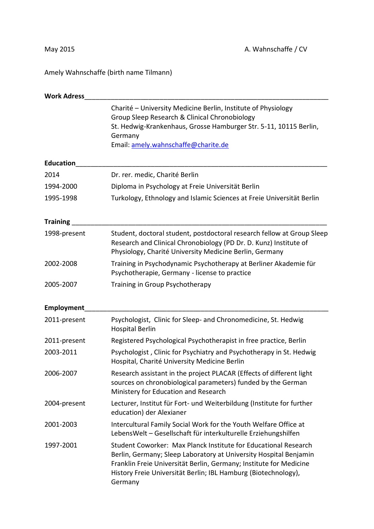Amely Wahnschaffe (birth name Tilmann)

| <b>Work Adress</b> |                                                                                                                                                                                                                                                                                         |
|--------------------|-----------------------------------------------------------------------------------------------------------------------------------------------------------------------------------------------------------------------------------------------------------------------------------------|
|                    | Charité - University Medicine Berlin, Institute of Physiology<br>Group Sleep Research & Clinical Chronobiology<br>St. Hedwig-Krankenhaus, Grosse Hamburger Str. 5-11, 10115 Berlin,<br>Germany<br>Email: amely.wahnschaffe@charite.de                                                   |
| <b>Education</b>   |                                                                                                                                                                                                                                                                                         |
| 2014               | Dr. rer. medic, Charité Berlin                                                                                                                                                                                                                                                          |
| 1994-2000          | Diploma in Psychology at Freie Universität Berlin                                                                                                                                                                                                                                       |
| 1995-1998          | Turkology, Ethnology and Islamic Sciences at Freie Universität Berlin                                                                                                                                                                                                                   |
| <b>Training</b>    |                                                                                                                                                                                                                                                                                         |
| 1998-present       | Student, doctoral student, postdoctoral research fellow at Group Sleep<br>Research and Clinical Chronobiology (PD Dr. D. Kunz) Institute of<br>Physiology, Charité University Medicine Berlin, Germany                                                                                  |
| 2002-2008          | Training in Psychodynamic Psychotherapy at Berliner Akademie für<br>Psychotherapie, Germany - license to practice                                                                                                                                                                       |
| 2005-2007          | Training in Group Psychotherapy                                                                                                                                                                                                                                                         |
| Employment         |                                                                                                                                                                                                                                                                                         |
| 2011-present       | Psychologist, Clinic for Sleep- and Chronomedicine, St. Hedwig<br><b>Hospital Berlin</b>                                                                                                                                                                                                |
| 2011-present       | Registered Psychological Psychotherapist in free practice, Berlin                                                                                                                                                                                                                       |
| 2003-2011          | Psychologist, Clinic for Psychiatry and Psychotherapy in St. Hedwig<br>Hospital, Charité University Medicine Berlin                                                                                                                                                                     |
| 2006-2007          | Research assistant in the project PLACAR (Effects of different light<br>sources on chronobiological parameters) funded by the German<br>Ministery for Education and Research                                                                                                            |
| 2004-present       | Lecturer, Institut für Fort- und Weiterbildung (Institute for further<br>education) der Alexianer                                                                                                                                                                                       |
| 2001-2003          | Intercultural Family Social Work for the Youth Welfare Office at<br>LebensWelt - Gesellschaft für interkulturelle Erziehungshilfen                                                                                                                                                      |
| 1997-2001          | Student Coworker: Max Planck Institute for Educational Research<br>Berlin, Germany; Sleep Laboratory at University Hospital Benjamin<br>Franklin Freie Universität Berlin, Germany; Institute for Medicine<br>History Freie Universität Berlin; IBL Hamburg (Biotechnology),<br>Germany |